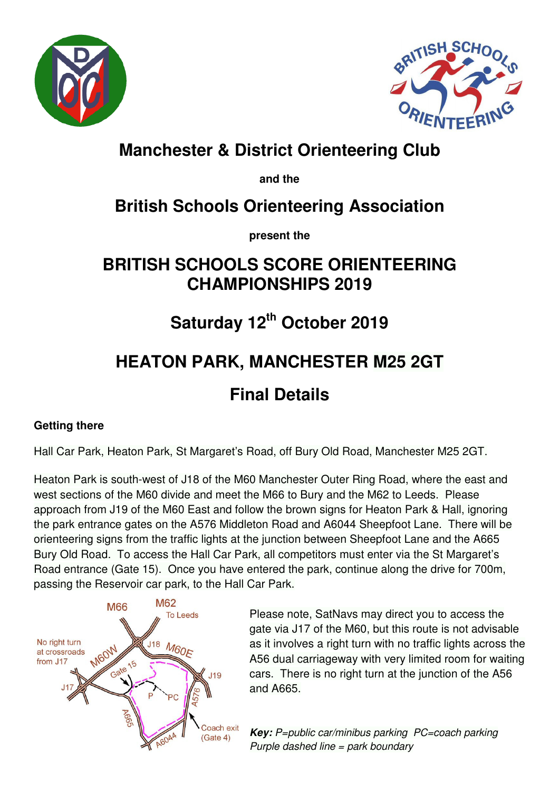



# **Manchester & District Orienteering Club**

**and the** 

# **British Schools Orienteering Association**

**present the** 

## **BRITISH SCHOOLS SCORE ORIENTEERING CHAMPIONSHIPS 2019**

# **Saturday 12th October 2019**

# **HEATON PARK, MANCHESTER M25 2GT**

# **Final Details**

#### **Getting there**

Hall Car Park, Heaton Park, St Margaret's Road, off Bury Old Road, Manchester M25 2GT.

Heaton Park is south-west of J18 of the M60 Manchester Outer Ring Road, where the east and west sections of the M60 divide and meet the M66 to Bury and the M62 to Leeds. Please approach from J19 of the M60 East and follow the brown signs for Heaton Park & Hall, ignoring the park entrance gates on the A576 Middleton Road and A6044 Sheepfoot Lane. There will be orienteering signs from the traffic lights at the junction between Sheepfoot Lane and the A665 Bury Old Road. To access the Hall Car Park, all competitors must enter via the St Margaret's Road entrance (Gate 15). Once you have entered the park, continue along the drive for 700m, passing the Reservoir car park, to the Hall Car Park.



Please note, SatNavs may direct you to access the gate via J17 of the M60, but this route is not advisable as it involves a right turn with no traffic lights across the A56 dual carriageway with very limited room for waiting cars. There is no right turn at the junction of the A56 and A665.

**Key:** P=public car/minibus parking PC=coach parking Purple dashed line = park boundary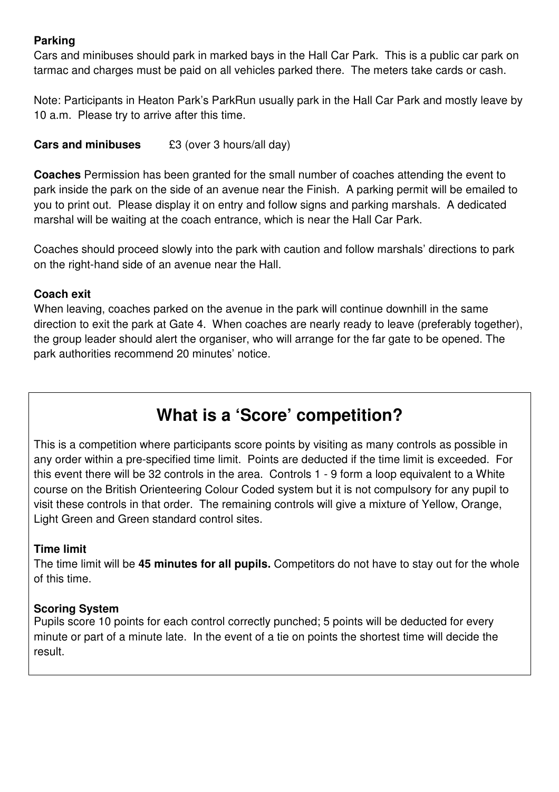#### **Parking**

Cars and minibuses should park in marked bays in the Hall Car Park. This is a public car park on tarmac and charges must be paid on all vehicles parked there. The meters take cards or cash.

Note: Participants in Heaton Park's ParkRun usually park in the Hall Car Park and mostly leave by 10 a.m. Please try to arrive after this time.

**Cars and minibuses £3** (over 3 hours/all day)

**Coaches** Permission has been granted for the small number of coaches attending the event to park inside the park on the side of an avenue near the Finish. A parking permit will be emailed to you to print out. Please display it on entry and follow signs and parking marshals. A dedicated marshal will be waiting at the coach entrance, which is near the Hall Car Park.

Coaches should proceed slowly into the park with caution and follow marshals' directions to park on the right-hand side of an avenue near the Hall.

#### **Coach exit**

When leaving, coaches parked on the avenue in the park will continue downhill in the same direction to exit the park at Gate 4. When coaches are nearly ready to leave (preferably together), the group leader should alert the organiser, who will arrange for the far gate to be opened. The park authorities recommend 20 minutes' notice.

## **What is a 'Score' competition?**

This is a competition where participants score points by visiting as many controls as possible in any order within a pre-specified time limit. Points are deducted if the time limit is exceeded. For this event there will be 32 controls in the area. Controls 1 - 9 form a loop equivalent to a White course on the British Orienteering Colour Coded system but it is not compulsory for any pupil to visit these controls in that order. The remaining controls will give a mixture of Yellow, Orange, Light Green and Green standard control sites.

#### **Time limit**

The time limit will be **45 minutes for all pupils.** Competitors do not have to stay out for the whole of this time.

#### **Scoring System**

Pupils score 10 points for each control correctly punched; 5 points will be deducted for every minute or part of a minute late. In the event of a tie on points the shortest time will decide the result.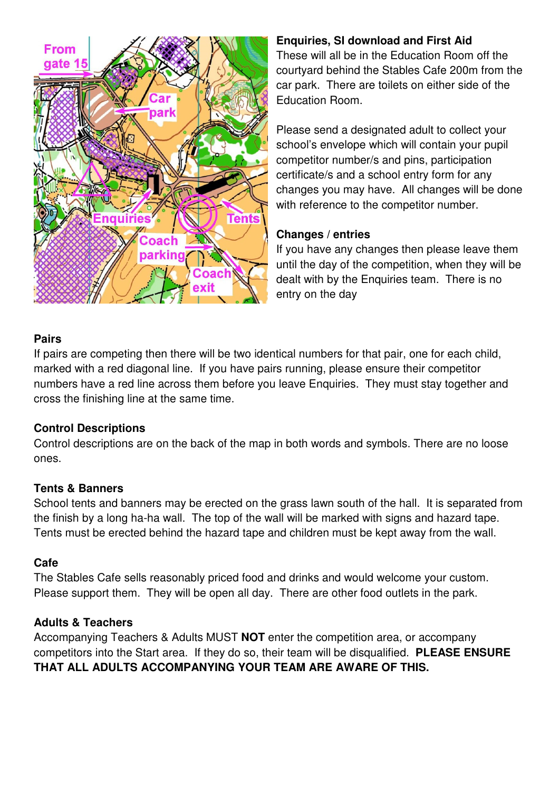

#### **Enquiries, SI download and First Aid**

These will all be in the Education Room off the courtyard behind the Stables Cafe 200m from the car park. There are toilets on either side of the Education Room.

Please send a designated adult to collect your school's envelope which will contain your pupil competitor number/s and pins, participation certificate/s and a school entry form for any changes you may have. All changes will be done with reference to the competitor number.

#### **Changes / entries**

If you have any changes then please leave them until the day of the competition, when they will be dealt with by the Enquiries team. There is no entry on the day

#### **Pairs**

If pairs are competing then there will be two identical numbers for that pair, one for each child, marked with a red diagonal line. If you have pairs running, please ensure their competitor numbers have a red line across them before you leave Enquiries. They must stay together and cross the finishing line at the same time.

#### **Control Descriptions**

Control descriptions are on the back of the map in both words and symbols. There are no loose ones.

#### **Tents & Banners**

School tents and banners may be erected on the grass lawn south of the hall. It is separated from the finish by a long ha-ha wall. The top of the wall will be marked with signs and hazard tape. Tents must be erected behind the hazard tape and children must be kept away from the wall.

#### **Cafe**

The Stables Cafe sells reasonably priced food and drinks and would welcome your custom. Please support them. They will be open all day. There are other food outlets in the park.

#### **Adults & Teachers**

Accompanying Teachers & Adults MUST **NOT** enter the competition area, or accompany competitors into the Start area. If they do so, their team will be disqualified. **PLEASE ENSURE THAT ALL ADULTS ACCOMPANYING YOUR TEAM ARE AWARE OF THIS.**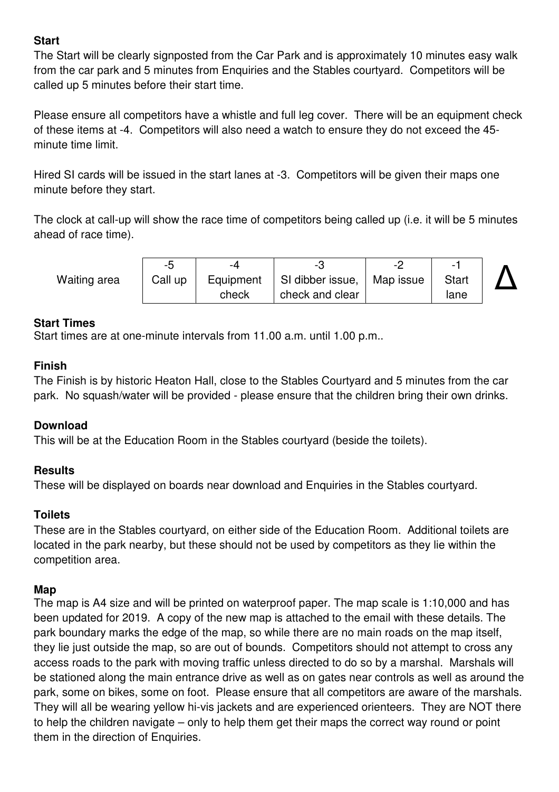#### **Start**

The Start will be clearly signposted from the Car Park and is approximately 10 minutes easy walk from the car park and 5 minutes from Enquiries and the Stables courtyard. Competitors will be called up 5 minutes before their start time.

Please ensure all competitors have a whistle and full leg cover. There will be an equipment check of these items at -4. Competitors will also need a watch to ensure they do not exceed the 45 minute time limit.

Hired SI cards will be issued in the start lanes at -3. Competitors will be given their maps one minute before they start.

The clock at call-up will show the race time of competitors being called up (i.e. it will be 5 minutes ahead of race time).

Waiting area

| -5      | -4        |                              |              |  |
|---------|-----------|------------------------------|--------------|--|
| Call up | Equipment | SI dibber issue,   Map issue | <b>Start</b> |  |
|         | check     | check and clear              | lane         |  |

#### **Start Times**

Start times are at one-minute intervals from 11.00 a.m. until 1.00 p.m..

#### **Finish**

The Finish is by historic Heaton Hall, close to the Stables Courtyard and 5 minutes from the car park. No squash/water will be provided - please ensure that the children bring their own drinks.

#### **Download**

This will be at the Education Room in the Stables courtyard (beside the toilets).

#### **Results**

These will be displayed on boards near download and Enquiries in the Stables courtyard.

#### **Toilets**

These are in the Stables courtyard, on either side of the Education Room. Additional toilets are located in the park nearby, but these should not be used by competitors as they lie within the competition area.

#### **Map**

The map is A4 size and will be printed on waterproof paper. The map scale is 1:10,000 and has been updated for 2019. A copy of the new map is attached to the email with these details. The park boundary marks the edge of the map, so while there are no main roads on the map itself, they lie just outside the map, so are out of bounds. Competitors should not attempt to cross any access roads to the park with moving traffic unless directed to do so by a marshal. Marshals will be stationed along the main entrance drive as well as on gates near controls as well as around the park, some on bikes, some on foot. Please ensure that all competitors are aware of the marshals. They will all be wearing yellow hi-vis jackets and are experienced orienteers. They are NOT there to help the children navigate – only to help them get their maps the correct way round or point them in the direction of Enquiries.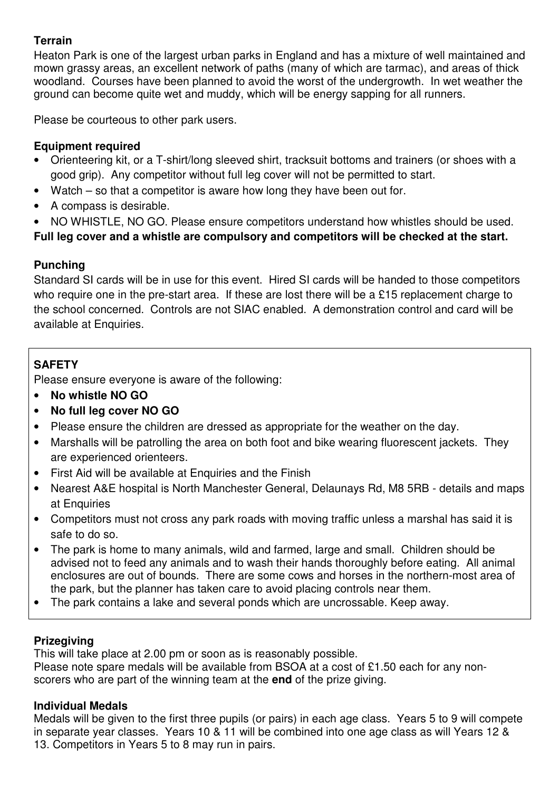#### **Terrain**

Heaton Park is one of the largest urban parks in England and has a mixture of well maintained and mown grassy areas, an excellent network of paths (many of which are tarmac), and areas of thick woodland. Courses have been planned to avoid the worst of the undergrowth. In wet weather the ground can become quite wet and muddy, which will be energy sapping for all runners.

Please be courteous to other park users.

#### **Equipment required**

- Orienteering kit, or a T-shirt/long sleeved shirt, tracksuit bottoms and trainers (or shoes with a good grip). Any competitor without full leg cover will not be permitted to start.
- Watch  $-$  so that a competitor is aware how long they have been out for.
- A compass is desirable.
- NO WHISTLE, NO GO. Please ensure competitors understand how whistles should be used.

**Full leg cover and a whistle are compulsory and competitors will be checked at the start.** 

#### **Punching**

Standard SI cards will be in use for this event. Hired SI cards will be handed to those competitors who require one in the pre-start area. If these are lost there will be a £15 replacement charge to the school concerned. Controls are not SIAC enabled. A demonstration control and card will be available at Enquiries.

#### **SAFETY**

Please ensure everyone is aware of the following:

- **No whistle NO GO**
- **No full leg cover NO GO**
- Please ensure the children are dressed as appropriate for the weather on the day.
- Marshalls will be patrolling the area on both foot and bike wearing fluorescent jackets. They are experienced orienteers.
- First Aid will be available at Enquiries and the Finish
- Nearest A&E hospital is North Manchester General, Delaunays Rd, M8 5RB details and maps at Enquiries
- Competitors must not cross any park roads with moving traffic unless a marshal has said it is safe to do so.
- The park is home to many animals, wild and farmed, large and small. Children should be advised not to feed any animals and to wash their hands thoroughly before eating. All animal enclosures are out of bounds. There are some cows and horses in the northern-most area of the park, but the planner has taken care to avoid placing controls near them.
- The park contains a lake and several ponds which are uncrossable. Keep away.

#### **Prizegiving**

This will take place at 2.00 pm or soon as is reasonably possible. Please note spare medals will be available from BSOA at a cost of £1.50 each for any nonscorers who are part of the winning team at the **end** of the prize giving.

#### **Individual Medals**

Medals will be given to the first three pupils (or pairs) in each age class. Years 5 to 9 will compete in separate year classes. Years 10 & 11 will be combined into one age class as will Years 12 & 13. Competitors in Years 5 to 8 may run in pairs.